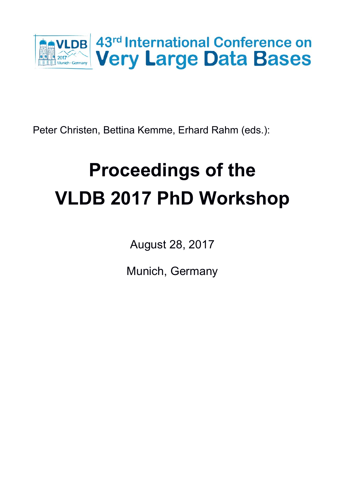

Peter Christen, Bettina Kemme, Erhard Rahm (eds.):

# **Proceedings of the VLDB 2017 PhD Workshop**

August 28, 2017

Munich, Germany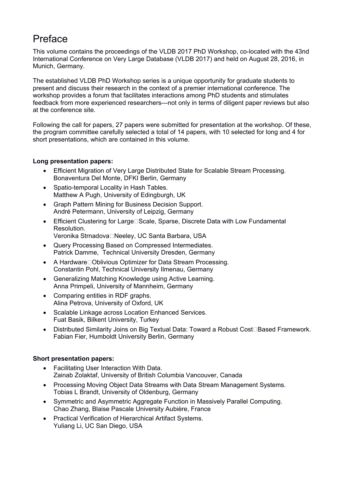## Preface

This volume contains the proceedings of the VLDB 2017 PhD Workshop, co-located with the 43nd International Conference on Very Large Database (VLDB 2017) and held on August 28, 2016, in Munich, Germany.

The established VLDB PhD Workshop series is a unique opportunity for graduate students to present and discuss their research in the context of a premier international conference. The workshop provides a forum that facilitates interactions among PhD students and stimulates feedback from more experienced researchers—not only in terms of diligent paper reviews but also at the conference site.

Following the call for papers, 27 papers were submitted for presentation at the workshop. Of these, the program committee carefully selected a total of 14 papers, with 10 selected for long and 4 for short presentations, which are contained in this volume.

#### **Long presentation papers:**

- Efficient Migration of Very Large Distributed State for Scalable Stream Processing. Bonaventura Del Monte, DFKI Berlin, Germany
- Spatio-temporal Locality in Hash Tables. Matthew A Pugh, University of Edingburgh, UK
- Graph Pattern Mining for Business Decision Support. André Petermann, University of Leipzig, Germany
- Efficient Clustering for Large Scale, Sparse, Discrete Data with Low Fundamental Resolution. Veronika Strnadova□Neeley, UC Santa Barbara, USA
- Query Processing Based on Compressed Intermediates. Patrick Damme, Technical University Dresden, Germany
- A Hardware□Oblivious Optimizer for Data Stream Processing. Constantin Pohl, Technical University Ilmenau, Germany
- Generalizing Matching Knowledge using Active Learning. Anna Primpeli, University of Mannheim, Germany
- Comparing entities in RDF graphs. Alina Petrova, University of Oxford, UK
- Scalable Linkage across Location Enhanced Services. Fuat Basik, Bilkent University, Turkey
- Distributed Similarity Joins on Big Textual Data: Toward a Robust CostBased Framework. Fabian Fier, Humboldt University Berlin, Germany

#### **Short presentation papers:**

- Facilitating User Interaction With Data. Zainab Zolaktaf, University of British Columbia Vancouver, Canada
- Processing Moving Object Data Streams with Data Stream Management Systems. Tobias L Brandt, University of Oldenburg, Germany
- Symmetric and Asymmetric Aggregate Function in Massively Parallel Computing. Chao Zhang, Blaise Pascale University Aubière, France
- Practical Verification of Hierarchical Artifact Systems. Yuliang Li, UC San Diego, USA